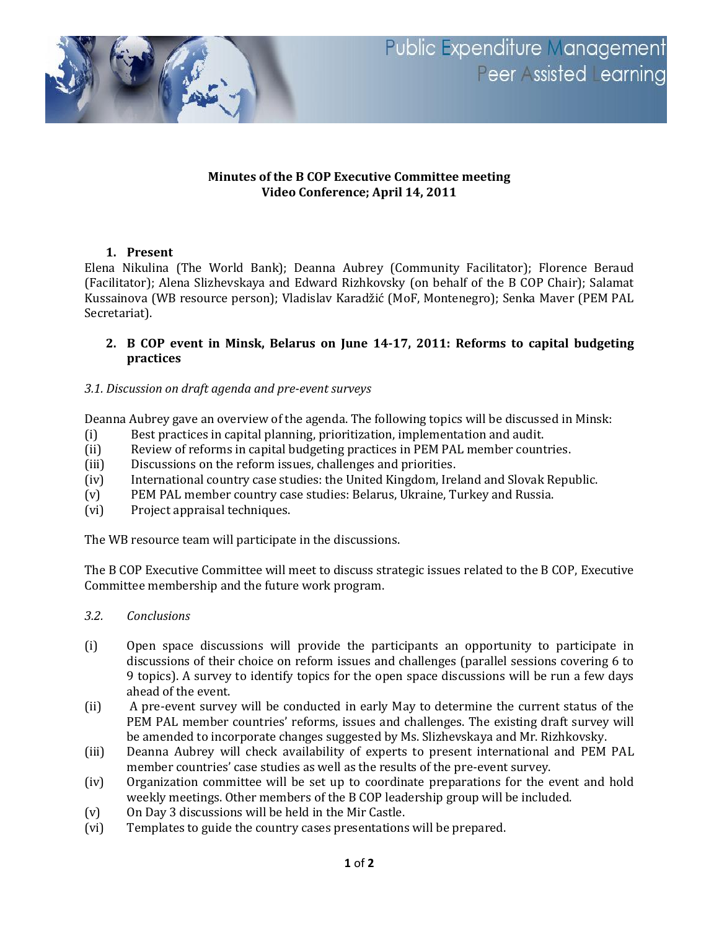

## **Minutes of the B COP Executive Committee meeting Video Conference; April 14, 2011**

## **1. Present**

Elena Nikulina (The World Bank); Deanna Aubrey (Community Facilitator); Florence Beraud (Facilitator); Alena Slizhevskaya and Edward Rizhkovsky (on behalf of the B COP Chair); Salamat Kussainova (WB resource person); Vladislav Karadžić (MoF, Montenegro); Senka Maver (PEM PAL Secretariat).

## **2. B COP event in Minsk, Belarus on June 14-17, 2011: Reforms to capital budgeting practices**

## *3.1. Discussion on draft agenda and pre-event surveys*

Deanna Aubrey gave an overview of the agenda. The following topics will be discussed in Minsk:

- (i) Best practices in capital planning, prioritization, implementation and audit.
- (ii) Review of reforms in capital budgeting practices in PEM PAL member countries.
- (iii) Discussions on the reform issues, challenges and priorities.
- (iv) International country case studies: the United Kingdom, Ireland and Slovak Republic.
- (v) PEM PAL member country case studies: Belarus, Ukraine, Turkey and Russia.
- (vi) Project appraisal techniques.

The WB resource team will participate in the discussions.

The B COP Executive Committee will meet to discuss strategic issues related to the B COP, Executive Committee membership and the future work program.

- *3.2. Conclusions*
- (i) Open space discussions will provide the participants an opportunity to participate in discussions of their choice on reform issues and challenges (parallel sessions covering 6 to 9 topics). A survey to identify topics for the open space discussions will be run a few days ahead of the event.
- (ii) A pre-event survey will be conducted in early May to determine the current status of the PEM PAL member countries' reforms, issues and challenges. The existing draft survey will be amended to incorporate changes suggested by Ms. Slizhevskaya and Mr. Rizhkovsky.
- (iii) Deanna Aubrey will check availability of experts to present international and PEM PAL member countries' case studies as well as the results of the pre-event survey.
- (iv) Organization committee will be set up to coordinate preparations for the event and hold weekly meetings. Other members of the B COP leadership group will be included.
- (v) On Day 3 discussions will be held in the Mir Castle.
- (vi) Templates to guide the country cases presentations will be prepared.